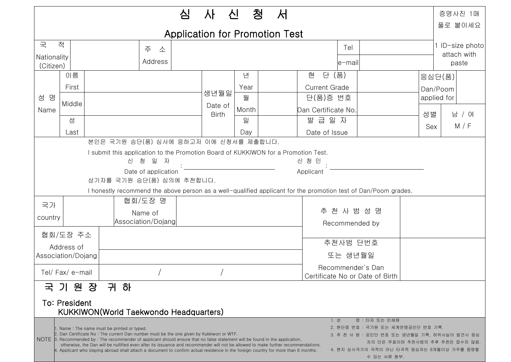| 청<br>서<br>심<br>신<br>사                                                                                                                                                                                                                                                                                                                                                                                                                                                                                 |                    |  |                    |  |                         |       |                                 |                      |          |        | 증명사진 1매                 |  |
|-------------------------------------------------------------------------------------------------------------------------------------------------------------------------------------------------------------------------------------------------------------------------------------------------------------------------------------------------------------------------------------------------------------------------------------------------------------------------------------------------------|--------------------|--|--------------------|--|-------------------------|-------|---------------------------------|----------------------|----------|--------|-------------------------|--|
| <b>Application for Promotion Test</b>                                                                                                                                                                                                                                                                                                                                                                                                                                                                 |                    |  |                    |  |                         |       |                                 |                      |          |        | 풀로 붙이세요                 |  |
| 국                                                                                                                                                                                                                                                                                                                                                                                                                                                                                                     | 적<br>Tel<br>주<br>소 |  |                    |  |                         |       |                                 |                      |          |        | 1 ID-size photo         |  |
| Nationality                                                                                                                                                                                                                                                                                                                                                                                                                                                                                           |                    |  | Address            |  |                         |       |                                 | le-mail              |          |        | attach with<br>paste    |  |
| (Citizen)                                                                                                                                                                                                                                                                                                                                                                                                                                                                                             | 이름                 |  |                    |  |                         | 년     |                                 | 단 (품)<br>현           |          |        |                         |  |
| 명<br>성<br>Name                                                                                                                                                                                                                                                                                                                                                                                                                                                                                        | First              |  |                    |  |                         | Year  |                                 | <b>Current Grade</b> |          | 응심단(품) |                         |  |
|                                                                                                                                                                                                                                                                                                                                                                                                                                                                                                       |                    |  |                    |  | 생년월일                    | 월     |                                 |                      | 단(품)증 번호 |        | Dan/Poom<br>applied for |  |
|                                                                                                                                                                                                                                                                                                                                                                                                                                                                                                       | Middle             |  |                    |  | Date of<br><b>Birth</b> | Month |                                 | Dan Certificate No.  |          |        | 남 / 여<br>M / F          |  |
|                                                                                                                                                                                                                                                                                                                                                                                                                                                                                                       | 성                  |  |                    |  |                         | 일     |                                 | 발급일자                 | 성별       |        |                         |  |
|                                                                                                                                                                                                                                                                                                                                                                                                                                                                                                       | Last               |  |                    |  |                         | Day   |                                 | Date of Issue        |          | Sex    |                         |  |
| 본인은 국기원 승단(품) 심사에 응하고저 이에 신청서를 제출합니다.                                                                                                                                                                                                                                                                                                                                                                                                                                                                 |                    |  |                    |  |                         |       |                                 |                      |          |        |                         |  |
| I submit this application to the Promotion Board of KUKKIWON for a Promotion Test.                                                                                                                                                                                                                                                                                                                                                                                                                    |                    |  |                    |  |                         |       |                                 |                      |          |        |                         |  |
| 신 청 일 자<br>신 청 인                                                                                                                                                                                                                                                                                                                                                                                                                                                                                      |                    |  |                    |  |                         |       |                                 |                      |          |        |                         |  |
| Date of application<br>Applicant                                                                                                                                                                                                                                                                                                                                                                                                                                                                      |                    |  |                    |  |                         |       |                                 |                      |          |        |                         |  |
| 상기자를 국기원 승단(품) 심의에 추천합니다.<br>I honestly recommend the above person as a well-qualified applicant for the promotion test of Dan/Poom grades.                                                                                                                                                                                                                                                                                                                                                           |                    |  |                    |  |                         |       |                                 |                      |          |        |                         |  |
| 협회/도장명                                                                                                                                                                                                                                                                                                                                                                                                                                                                                                |                    |  |                    |  |                         |       |                                 |                      |          |        |                         |  |
| 국가<br>Name of                                                                                                                                                                                                                                                                                                                                                                                                                                                                                         |                    |  |                    |  |                         |       |                                 | 추 천 사 범 성 명          |          |        |                         |  |
| country                                                                                                                                                                                                                                                                                                                                                                                                                                                                                               |                    |  | Association/Dojang |  |                         |       |                                 | Recommended by       |          |        |                         |  |
| 협회/도장 주소                                                                                                                                                                                                                                                                                                                                                                                                                                                                                              |                    |  |                    |  |                         |       |                                 |                      |          |        |                         |  |
| Address of                                                                                                                                                                                                                                                                                                                                                                                                                                                                                            |                    |  |                    |  |                         |       |                                 | 추천사범 단번호             |          |        |                         |  |
| Association/Dojang                                                                                                                                                                                                                                                                                                                                                                                                                                                                                    |                    |  |                    |  |                         |       |                                 | 또는 생년월일              |          |        |                         |  |
|                                                                                                                                                                                                                                                                                                                                                                                                                                                                                                       |                    |  |                    |  |                         |       | Recommender's Dan               |                      |          |        |                         |  |
| Tel/Fax/e-mail                                                                                                                                                                                                                                                                                                                                                                                                                                                                                        |                    |  |                    |  |                         |       | Certificate No or Date of Birth |                      |          |        |                         |  |
| 국 기 원 장<br>귀<br>하                                                                                                                                                                                                                                                                                                                                                                                                                                                                                     |                    |  |                    |  |                         |       |                                 |                      |          |        |                         |  |
| <b>To: President</b>                                                                                                                                                                                                                                                                                                                                                                                                                                                                                  |                    |  |                    |  |                         |       |                                 |                      |          |        |                         |  |
| <b>KUKKIWON(World Taekwondo Headquarters)</b>                                                                                                                                                                                                                                                                                                                                                                                                                                                         |                    |  |                    |  |                         |       |                                 |                      |          |        |                         |  |
| 명 : 타자 또는 인쇄체<br>1. 성                                                                                                                                                                                                                                                                                                                                                                                                                                                                                 |                    |  |                    |  |                         |       |                                 |                      |          |        |                         |  |
| 2. 현단증 번호 : 국기원 또는 세계연맹공인단 번호 기록.<br>. Name: The name must be printed or typed.<br>2. Dan Certificate No: The current Dan number must be the one given by Kukkiwon or WTF.<br>3. 추 천 사 범 : 공인단 번호 또는 생년월일 기록, 허위사실이 발견시 응심                                                                                                                                                                                                                                                                            |                    |  |                    |  |                         |       |                                 |                      |          |        |                         |  |
| NOTE 3. Recommended by: The recommender of applicant should ensure that no false statement will be found in the application,<br>자의 단은 무효이며 추천사범의 추후 추천은 접수치 않음<br>otherwise, the Dan will be nullified even after its issuance and recommender will not be allowed to make further recommendations.<br>4. 현지 심사국가의 국적이 아닌 타국적 응심자는 6개월이상 거주를 증명할<br>4. Applicant who staying abroad shall attach a document to confirm actual residence in the foreign country for more than 6 months.<br>수 있는 서류 첨부. |                    |  |                    |  |                         |       |                                 |                      |          |        |                         |  |
|                                                                                                                                                                                                                                                                                                                                                                                                                                                                                                       |                    |  |                    |  |                         |       |                                 |                      |          |        |                         |  |